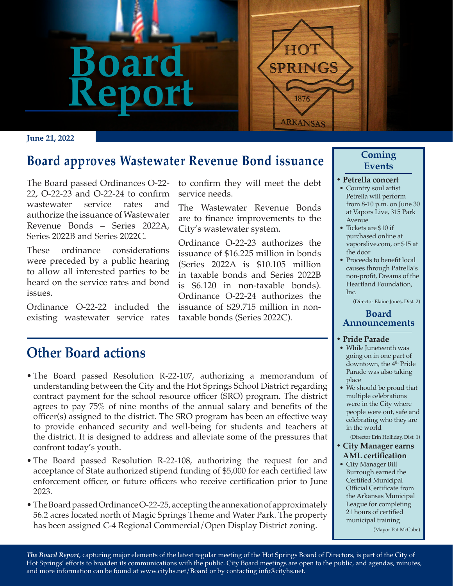

#### **June 21, 2022**

## **Board approves Wastewater Revenue Bond issuance**

The Board passed Ordinances O-22- 22, O-22-23 and O-22-24 to confirm wastewater service rates and authorize the issuance of Wastewater Revenue Bonds – Series 2022A, Series 2022B and Series 2022C.

These ordinance considerations were preceded by a public hearing to allow all interested parties to be heard on the service rates and bond issues.

Ordinance O-22-22 included the existing wastewater service rates to confirm they will meet the debt service needs.

The Wastewater Revenue Bonds are to finance improvements to the City's wastewater system.

Ordinance O-22-23 authorizes the issuance of \$16.225 million in bonds (Series 2022A is \$10.105 million in taxable bonds and Series 2022B is \$6.120 in non-taxable bonds). Ordinance O-22-24 authorizes the issuance of \$29.715 million in nontaxable bonds (Series 2022C).

# **Other Board actions**

- The Board passed Resolution R-22-107, authorizing a memorandum of understanding between the City and the Hot Springs School District regarding contract payment for the school resource officer (SRO) program. The district agrees to pay 75% of nine months of the annual salary and benefits of the officer(s) assigned to the district. The SRO program has been an effective way to provide enhanced security and well-being for students and teachers at the district. It is designed to address and alleviate some of the pressures that confront today's youth.
- The Board passed Resolution R-22-108, authorizing the request for and acceptance of State authorized stipend funding of \$5,000 for each certified law enforcement officer, or future officers who receive certification prior to June 2023.
- The Board passed Ordinance O-22-25, accepting the annexation of approximately 56.2 acres located north of Magic Springs Theme and Water Park. The property has been assigned C-4 Regional Commercial/Open Display District zoning.

### **Coming Events**

- **• Petrella concert**
- Country soul artist Petrella will perform from 8-10 p.m. on June 30 at Vapors Live, 315 Park Avenue
- Tickets are \$10 if purchased online at vaporslive.com, or \$15 at the door
- Proceeds to benefit local causes through Patrella's non-profit, Dreams of the Heartland Foundation,  $Inc$

(Director Elaine Jones, Dist. 2)

#### **Board Announcements**

#### **• Pride Parade**

- While Juneteenth was going on in one part of downtown, the 4<sup>th</sup> Pride Parade was also taking place
- We should be proud that multiple celebrations were in the City where people were out, safe and celebrating who they are in the world

(Director Erin Holliday, Dist. 1)

- **• City Manager earns AML certification**
	- City Manager Bill Burrough earned the Certified Municipal Official Certificate from the Arkansas Municipal League for completing 21 hours of certified municipal training

(Mayor Pat McCabe)

*The Board Report*, capturing major elements of the latest regular meeting of the Hot Springs Board of Directors, is part of the City of Hot Springs' efforts to broaden its communications with the public. City Board meetings are open to the public, and agendas, minutes, and more information can be found at www.cityhs.net/Board or by contacting info@cityhs.net.